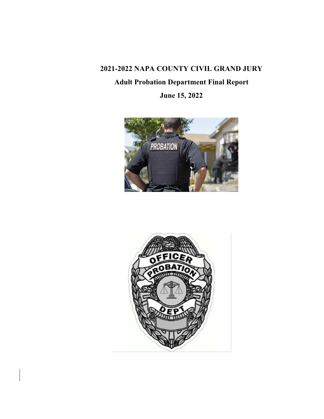# **2021-2022 NAPA COUNTY CIVIL GRAND JURY**

# **Adult Probation Department Final Report**

**June 15, 2022**



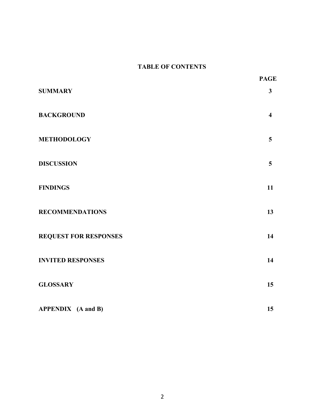### **TABLE OF CONTENTS**

|                              | <b>PAGE</b>             |
|------------------------------|-------------------------|
| <b>SUMMARY</b>               | $\mathbf{3}$            |
| <b>BACKGROUND</b>            | $\overline{\mathbf{4}}$ |
| <b>METHODOLOGY</b>           | 5                       |
| <b>DISCUSSION</b>            | 5                       |
| <b>FINDINGS</b>              | 11                      |
| <b>RECOMMENDATIONS</b>       | 13                      |
| <b>REQUEST FOR RESPONSES</b> | 14                      |
| <b>INVITED RESPONSES</b>     | 14                      |
| <b>GLOSSARY</b>              | 15                      |
| <b>APPENDIX</b> (A and B)    | 15                      |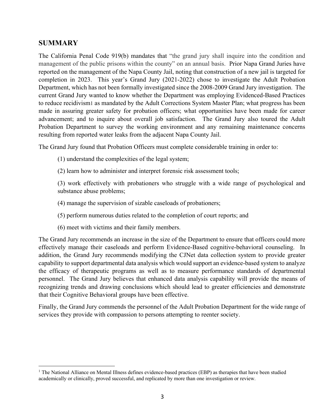### **SUMMARY**

The California Penal Code 919(b) mandates that "the grand jury shall inquire into the condition and management of the public prisons within the county" on an annual basis. Prior Napa Grand Juries have reported on the management of the Napa County Jail, noting that construction of a new jail is targeted for completion in 2023. This year's Grand Jury (2021-2022) chose to investigate the Adult Probation Department, which has not been formally investigated since the 2008-2009 Grand Jury investigation. The current Grand Jury wanted to know whether the Department was employing Evidenced-Based Practices to reduce recidivism1 as mandated by the Adult Corrections System Master Plan; what progress has been made in assuring greater safety for probation officers; what opportunities have been made for career advancement; and to inquire about overall job satisfaction. The Grand Jury also toured the Adult Probation Department to survey the working environment and any remaining maintenance concerns resulting from reported water leaks from the adjacent Napa County Jail.

The Grand Jury found that Probation Officers must complete considerable training in order to:

- (1) understand the complexities of the legal system;
- (2) learn how to administer and interpret forensic risk assessment tools;

(3) work effectively with probationers who struggle with a wide range of psychological and substance abuse problems;

- (4) manage the supervision of sizable caseloads of probationers;
- (5) perform numerous duties related to the completion of court reports; and
- (6) meet with victims and their family members.

The Grand Jury recommends an increase in the size of the Department to ensure that officers could more effectively manage their caseloads and perform Evidence-Based cognitive-behavioral counseling. In addition, the Grand Jury recommends modifying the CJNet data collection system to provide greater capability to support departmental data analysis which would support an evidence-based system to analyze the efficacy of therapeutic programs as well as to measure performance standards of departmental personnel. The Grand Jury believes that enhanced data analysis capability will provide the means of recognizing trends and drawing conclusions which should lead to greater efficiencies and demonstrate that their Cognitive Behavioral groups have been effective.

Finally, the Grand Jury commends the personnel of the Adult Probation Department for the wide range of services they provide with compassion to persons attempting to reenter society.

<sup>&</sup>lt;sup>1</sup> The National Alliance on Mental Illness defines evidence-based practices (EBP) as therapies that have been studied academically or clinically, proved successful, and replicated by more than one investigation or review.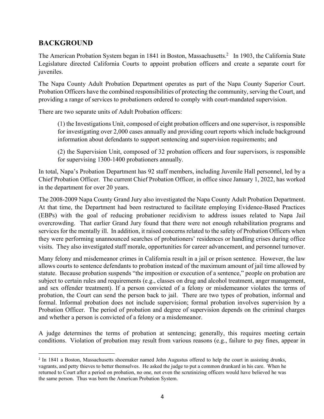# **BACKGROUND**

The American Probation System began in 1841 in Boston, Massachusetts.<sup>2</sup> In 1903, the California State Legislature directed California Courts to appoint probation officers and create a separate court for juveniles.

The Napa County Adult Probation Department operates as part of the Napa County Superior Court. Probation Officers have the combined responsibilities of protecting the community, serving the Court, and providing a range of services to probationers ordered to comply with court-mandated supervision.

There are two separate units of Adult Probation officers:

(1) the Investigations Unit, composed of eight probation officers and one supervisor, is responsible for investigating over 2,000 cases annually and providing court reports which include background information about defendants to support sentencing and supervision requirements; and

(2) the Supervision Unit, composed of 32 probation officers and four supervisors, is responsible for supervising 1300-1400 probationers annually.

In total, Napa's Probation Department has 92 staff members, including Juvenile Hall personnel, led by a Chief Probation Officer. The current Chief Probation Officer, in office since January 1, 2022, has worked in the department for over 20 years.

The 2008-2009 Napa County Grand Jury also investigated the Napa County Adult Probation Department. At that time, the Department had been restructured to facilitate employing Evidence-Based Practices (EBPs) with the goal of reducing probationer recidivism to address issues related to Napa Jail overcrowding. That earlier Grand Jury found that there were not enough rehabilitation programs and services for the mentally ill. In addition, it raised concerns related to the safety of Probation Officers when they were performing unannounced searches of probationers' residences or handling crises during office visits. They also investigated staff morale, opportunities for career advancement, and personnel turnover.

Many felony and misdemeanor crimes in California result in a jail or prison sentence. However, the law allows courts to sentence defendants to probation instead of the maximum amount of jail time allowed by statute. Because probation suspends "the imposition or execution of a sentence," people on probation are subject to certain rules and requirements (e.g., classes on drug and alcohol treatment, anger management, and sex offender treatment). If a person convicted of a felony or misdemeanor violates the terms of probation, the Court can send the person back to jail. There are two types of probation, informal and formal. Informal probation does not include supervision; formal probation involves supervision by a Probation Officer. The period of probation and degree of supervision depends on the criminal charges and whether a person is convicted of a felony or a misdemeanor.

A judge determines the terms of probation at sentencing; generally, this requires meeting certain conditions. Violation of probation may result from various reasons (e.g., failure to pay fines, appear in

<sup>&</sup>lt;sup>2</sup> In 1841 a Boston, Massachusetts shoemaker named John Augustus offered to help the court in assisting drunks, vagrants, and petty thieves to better themselves. He asked the judge to put a common drunkard in his care. When he returned to Court after a period on probation, no one, not even the scrutinizing officers would have believed he was the same person. Thus was born the American Probation System.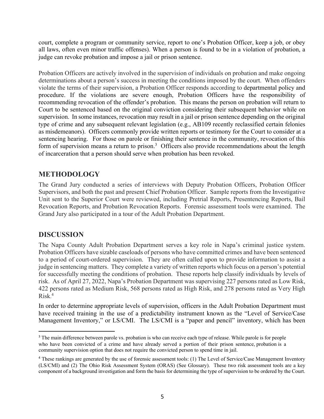court, complete a program or community service, report to one's Probation Officer, keep a job, or obey all laws, often even minor traffic offenses). When a person is found to be in a violation of probation, a judge can revoke probation and impose a jail or prison sentence.

Probation Officers are actively involved in the supervision of individuals on probation and make ongoing determinations about a person's success in meeting the conditions imposed by the court. When offenders violate the terms of their supervision, a Probation Officer responds according to departmental policy and procedure. If the violations are severe enough, Probation Officers have the responsibility of recommending revocation of the offender's probation. This means the person on probation will return to Court to be sentenced based on the original conviction considering their subsequent behavior while on supervision. In some instances, revocation may result in a jail or prison sentence depending on the original type of crime and any subsequent relevant legislation (e.g., AB109 recently reclassified certain felonies as misdemeanors). Officers commonly provide written reports or testimony for the Court to consider at a sentencing hearing. For those on parole or finishing their sentence in the community, revocation of this form of supervision means a return to prison.<sup>3</sup> Officers also provide recommendations about the length of incarceration that a person should serve when probation has been revoked.

## **METHODOLOGY**

The Grand Jury conducted a series of interviews with Deputy Probation Officers, Probation Officer Supervisors, and both the past and present Chief Probation Officer. Sample reports from the Investigative Unit sent to the Superior Court were reviewed, including Pretrial Reports, Presentencing Reports, Bail Revocation Reports, and Probation Revocation Reports. Forensic assessment tools were examined. The Grand Jury also participated in a tour of the Adult Probation Department.

### **DISCUSSION**

The Napa County Adult Probation Department serves a key role in Napa's criminal justice system. Probation Officers have sizable caseloads of persons who have committed crimes and have been sentenced to a period of court-ordered supervision. They are often called upon to provide information to assist a judge in sentencing matters. They complete a variety of written reports which focus on a person's potential for successfully meeting the conditions of probation. These reports help classify individuals by levels of risk. As of April 27, 2022, Napa's Probation Department was supervising 227 persons rated as Low Risk, 422 persons rated as Medium Risk, 568 persons rated as High Risk, and 278 persons rated as Very High Risk. 4

In order to determine appropriate levels of supervision, officers in the Adult Probation Department must have received training in the use of a predictability instrument known as the "Level of Service/Case Management Inventory," or LS/CMI. The LS/CMI is a "paper and pencil" inventory, which has been

<sup>&</sup>lt;sup>3</sup> The main difference between parole vs. probation is who can receive each type of release. While parole is for people who have been convicted of a crime and have already served a portion of their prison sentence, probation is a community supervision option that does not require the convicted person to spend time in jail.

<sup>4</sup> These rankings are generated by the use of forensic assessment tools: (1) The Level of Service/Case Management Inventory (LS/CMI) and (2) The Ohio Risk Assessment System (ORAS) (See Glossary). These two risk assessment tools are a key component of a background investigation and form the basis for determining the type of supervision to be ordered by the Court.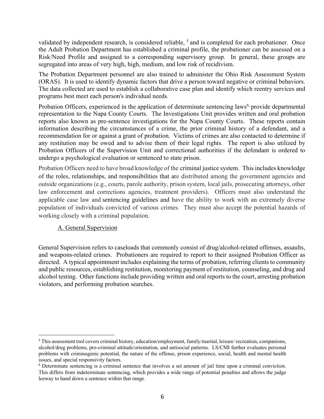validated by independent research, is considered reliable, <sup>5</sup> and is completed for each probationer. Once the Adult Probation Department has established a criminal profile, the probationer can be assessed on a Risk/Need Profile and assigned to a corresponding supervisory group. In general, these groups are segregated into areas of very high, high, medium, and low risk of recidivism.

The Probation Department personnel are also trained to administer the Ohio Risk Assessment System (ORAS). It is used to identify dynamic factors that drive a person toward negative or criminal behaviors. The data collected are used to establish a collaborative case plan and identify which reentry services and programs best meet each person's individual needs.

Probation Officers, experienced in the application of determinate sentencing laws<sup>6,</sup> provide departmental representation to the Napa County Courts. The Investigations Unit provides written and oral probation reports also known as pre-sentence investigations for the Napa County Courts. These reports contain information describing the circumstances of a crime, the prior criminal history of a defendant, and a recommendation for or against a grant of probation. Victims of crimes are also contacted to determine if any restitution may be owed and to advise them of their legal rights. The report is also utilized by Probation Officers of the Supervision Unit and correctional authorities if the defendant is ordered to undergo a psychological evaluation or sentenced to state prison.

Probation Officers need to have broad knowledge of the criminal justice system. This includes knowledge of the roles, relationships, and responsibilities that are distributed among the government agencies and outside organizations (e.g., courts, parole authority, prison system, local jails, prosecuting attorneys, other law enforcement and corrections agencies, treatment providers). Officers must also understand the applicable case law and sentencing guidelines and have the ability to work with an extremely diverse population of individuals convicted of various crimes. They must also accept the potential hazards of working closely with a criminal population.

### A. General Supervision

General Supervision refers to caseloads that commonly consist of drug/alcohol-related offenses, assaults, and weapons-related crimes. Probationers are required to report to their assigned Probation Officer as directed. A typical appointment includes explaining the terms of probation, referring clients to community and public resources, establishing restitution, monitoring payment of restitution, counseling, and drug and alcohol testing. Other functions include providing written and oral reports to the court, arresting probation violators, and performing probation searches.

<sup>5</sup> This assessment tool covers criminal history, education/employment, family/marital, leisure/ recreation, companions, alcohol/drug problems, pro-criminal attitude/orientation, and antisocial patterns. LS/CMI further evaluates personal problems with criminogenic potential, the nature of the offense, prison experience, social, health and mental health issues, and special responsivity factors.

<sup>6</sup> Determinate sentencing is a criminal sentence that involves a set amount of jail time upon a criminal conviction. This differs from indeterminate sentencing, which provides a wide range of potential penalties and allows the judge leeway to hand down a sentence within that range.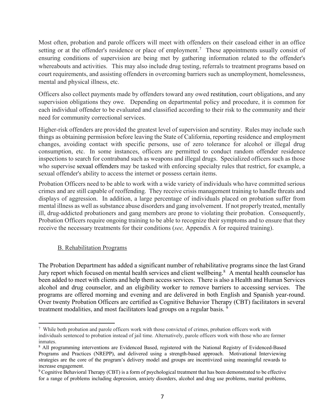Most often, probation and parole officers will meet with offenders on their caseload either in an office setting or at the offender's residence or place of employment.<sup>7</sup> These appointments usually consist of ensuring conditions of supervision are being met by gathering information related to the offender's whereabouts and activities. This may also include drug testing, referrals to treatment programs based on court requirements, and assisting offenders in overcoming barriers such as unemployment, homelessness, mental and physical illness, etc.

Officers also collect payments made by offenders toward any owed restitution, court obligations, and any supervision obligations they owe. Depending on departmental policy and procedure, it is common for each individual offender to be evaluated and classified according to their risk to the community and their need for community correctional services.

Higher-risk offenders are provided the greatest level of supervision and scrutiny. Rules may include such things as obtaining permission before leaving the State of California, reporting residence and employment changes, avoiding contact with specific persons, use of zero tolerance for alcohol or illegal drug consumption, etc. In some instances, officers are permitted to conduct random offender residence inspections to search for contraband such as weapons and illegal drugs. Specialized officers such as those who supervise sexual offenders may be tasked with enforcing specialty rules that restrict, for example, a sexual offender's ability to access the internet or possess certain items.

Probation Officers need to be able to work with a wide variety of individuals who have committed serious crimes and are still capable of reoffending. They receive crisis management training to handle threats and displays of aggression. In addition, a large percentage of individuals placed on probation suffer from mental illness as well as substance abuse disorders and gang involvement. If not properly treated, mentally ill, drug-addicted probationers and gang members are prone to violating their probation. Consequently, Probation Officers require ongoing training to be able to recognize their symptoms and to ensure that they receive the necessary treatments for their conditions (*see,* Appendix A for required training).

### B. Rehabilitation Programs

The Probation Department has added a significant number of rehabilitative programs since the last Grand Jury report which focused on mental health services and client wellbeing.<sup>8</sup> A mental health counselor has been added to meet with clients and help them access services. There is also a Health and Human Services alcohol and drug counselor, and an eligibility worker to remove barriers to accessing services. The programs are offered morning and evening and are delivered in both English and Spanish year-round. Over twenty Probation Officers are certified as Cognitive Behavior Therapy (CBT) facilitators in several treatment modalities, and most facilitators lead groups on a regular basis.<sup>9</sup>

<sup>7</sup> While both probation and parole officers work with those convicted of crimes, probation officers work with individuals sentenced to probation instead of jail time. Alternatively, parole officers work with those who are former inmates.

<sup>8</sup> All programming interventions are Evidenced Based, registered with the National Registry of Evidenced-Based Programs and Practices (NREPP), and delivered using a strength-based approach. Motivational Interviewing strategies are the core of the program's delivery model and groups are incentivized using meaningful rewards to increase engagement.

<sup>9</sup> Cognitive Behavioral Therapy (CBT) is a form of psychological treatment that has been demonstrated to be effective for a range of problems including depression, anxiety disorders, alcohol and drug use problems, marital problems,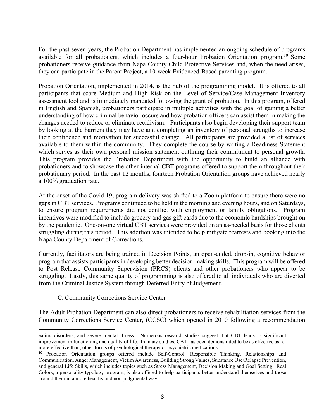For the past seven years, the Probation Department has implemented an ongoing schedule of programs available for all probationers, which includes a four-hour Probation Orientation program.10 Some probationers receive guidance from Napa County Child Protective Services and, when the need arises, they can participate in the Parent Project, a 10-week Evidenced-Based parenting program.

Probation Orientation, implemented in 2014, is the hub of the programming model. It is offered to all participants that score Medium and High Risk on the Level of Service/Case Management Inventory assessment tool and is immediately mandated following the grant of probation. In this program, offered in English and Spanish, probationers participate in multiple activities with the goal of gaining a better understanding of how criminal behavior occurs and how probation officers can assist them in making the changes needed to reduce or eliminate recidivism. Participants also begin developing their support team by looking at the barriers they may have and completing an inventory of personal strengths to increase their confidence and motivation for successful change. All participants are provided a list of services available to them within the community. They complete the course by writing a Readiness Statement which serves as their own personal mission statement outlining their commitment to personal growth. This program provides the Probation Department with the opportunity to build an alliance with probationers and to showcase the other internal CBT programs offered to support them throughout their probationary period. In the past 12 months, fourteen Probation Orientation groups have achieved nearly a 100% graduation rate.

At the onset of the Covid 19, program delivery was shifted to a Zoom platform to ensure there were no gaps in CBT services. Programs continued to be held in the morning and evening hours, and on Saturdays, to ensure program requirements did not conflict with employment or family obligations. Program incentives were modified to include grocery and gas gift cards due to the economic hardships brought on by the pandemic. One-on-one virtual CBT services were provided on an as-needed basis for those clients struggling during this period. This addition was intended to help mitigate rearrests and booking into the Napa County Department of Corrections.

Currently, facilitators are being trained in Decision Points, an open-ended, drop-in, cognitive behavior program that assists participants in developing better decision-making skills. This program will be offered to Post Release Community Supervision (PRCS) clients and other probationers who appear to be struggling. Lastly, this same quality of programming is also offered to all individuals who are diverted from the Criminal Justice System through Deferred Entry of Judgement.

#### C. Community Corrections Service Center

The Adult Probation Department can also direct probationers to receive rehabilitation services from the Community Corrections Service Center, (CCSC) which opened in 2010 following a recommendation

eating disorders, and severe mental illness. Numerous research studies suggest that CBT leads to significant improvement in functioning and quality of life. In many studies, CBT has been demonstrated to be as effective as, or more effective than, other forms of psychological therapy or psychiatric medications.

<sup>10</sup> Probation Orientation groups offered include Self-Control, Responsible Thinking, Relationships and Communication, Anger Management, Victim Awareness, Building Strong Values, Substance Use/Relapse Prevention, and general Life Skills, which includes topics such as Stress Management, Decision Making and Goal Setting. Real Colors, a personality typology program, is also offered to help participants better understand themselves and those around them in a more healthy and non-judgmental way.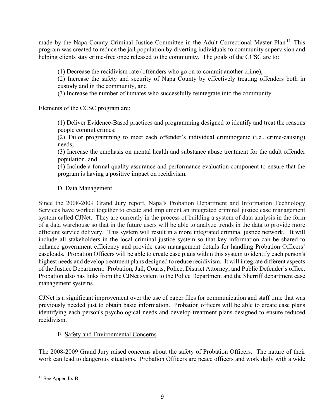made by the Napa County Criminal Justice Committee in the Adult Correctional Master Plan.<sup>11</sup> This program was created to reduce the jail population by diverting individuals to community supervision and helping clients stay crime-free once released to the community. The goals of the CCSC are to:

(1) Decrease the recidivism rate (offenders who go on to commit another crime),

(2) Increase the safety and security of Napa County by effectively treating offenders both in custody and in the community, and

(3) Increase the number of inmates who successfully reintegrate into the community.

Elements of the CCSC program are:

(1) Deliver Evidence-Based practices and programming designed to identify and treat the reasons people commit crimes;

(2) Tailor programming to meet each offender's individual criminogenic (i.e., crime-causing) needs;

(3) Increase the emphasis on mental health and substance abuse treatment for the adult offender population, and

(4) Include a formal quality assurance and performance evaluation component to ensure that the program is having a positive impact on recidivism.

### D. Data Management

Since the 2008-2009 Grand Jury report, Napa's Probation Department and Information Technology Services have worked together to create and implement an integrated criminal justice case management system called CJNet. They are currently in the process of building a system of data analysis in the form of a data warehouse so that in the future users will be able to analyze trends in the data to provide more efficient service delivery. This system will result in a more integrated criminal justice network. It will include all stakeholders in the local criminal justice system so that key information can be shared to enhance government efficiency and provide case management details for handling Probation Officers' caseloads. Probation Officers will be able to create case plans within this system to identify each person's highest needs and develop treatment plans designed to reduce recidivism. It will integrate different aspects of the Justice Department: Probation, Jail, Courts, Police, District Attorney, and Public Defender's office. Probation also has links from the CJNet system to the Police Department and the Sherriff department case management systems.

CJNet is a significant improvement over the use of paper files for communication and staff time that was previously needed just to obtain basic information. Probation officers will be able to create case plans identifying each person's psychological needs and develop treatment plans designed to ensure reduced recidivism.

### E. Safety and Environmental Concerns

The 2008-2009 Grand Jury raised concerns about the safety of Probation Officers. The nature of their work can lead to dangerous situations. Probation Officers are peace officers and work daily with a wide

 $11$  See Appendix B.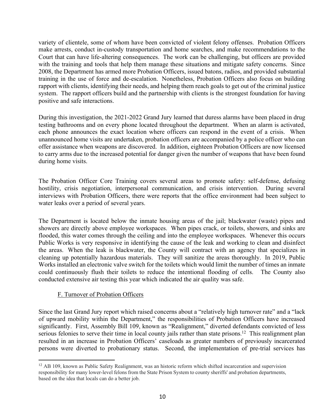variety of clientele, some of whom have been convicted of violent felony offenses. Probation Officers make arrests, conduct in-custody transportation and home searches, and make recommendations to the Court that can have life-altering consequences. The work can be challenging, but officers are provided with the training and tools that help them manage these situations and mitigate safety concerns. Since 2008, the Department has armed more Probation Officers, issued batons, radios, and provided substantial training in the use of force and de-escalation. Nonetheless, Probation Officers also focus on building rapport with clients, identifying their needs, and helping them reach goals to get out of the criminal justice system. The rapport officers build and the partnership with clients is the strongest foundation for having positive and safe interactions.

During this investigation, the 2021-2022 Grand Jury learned that duress alarms have been placed in drug testing bathrooms and on every phone located throughout the department. When an alarm is activated, each phone announces the exact location where officers can respond in the event of a crisis. When unannounced home visits are undertaken, probation officers are accompanied by a police officer who can offer assistance when weapons are discovered. In addition, eighteen Probation Officers are now licensed to carry arms due to the increased potential for danger given the number of weapons that have been found during home visits.

The Probation Officer Core Training covers several areas to promote safety: self-defense, defusing hostility, crisis negotiation, interpersonal communication, and crisis intervention. During several interviews with Probation Officers, there were reports that the office environment had been subject to water leaks over a period of several years.

The Department is located below the inmate housing areas of the jail; blackwater (waste) pipes and showers are directly above employee workspaces. When pipes crack, or toilets, showers, and sinks are flooded, this water comes through the ceiling and into the employee workspaces. Whenever this occurs Public Works is very responsive in identifying the cause of the leak and working to clean and disinfect the areas. When the leak is blackwater, the County will contract with an agency that specializes in cleaning up potentially hazardous materials. They will sanitize the areas thoroughly. In 2019, Public Works installed an electronic valve switch for the toilets which would limit the number of times an inmate could continuously flush their toilets to reduce the intentional flooding of cells. The County also conducted extensive air testing this year which indicated the air quality was safe.

#### F. Turnover of Probation Officers

Since the last Grand Jury report which raised concerns about a "relatively high turnover rate" and a "lack of upward mobility within the Department," the responsibilities of Probation Officers have increased significantly. First, Assembly Bill 109, known as "Realignment," diverted defendants convicted of less serious felonies to serve their time in local county jails rather than state prisons.<sup>12</sup> This realignment plan resulted in an increase in Probation Officers' caseloads as greater numbers of previously incarcerated persons were diverted to probationary status. Second, the implementation of pre-trial services has

<sup>&</sup>lt;sup>12</sup> AB 109, known as Public Safety Realignment, was an historic reform which shifted incarceration and supervision responsibility for many lower-level felons from the State Prison System to county sheriffs' and probation departments, based on the idea that locals can do a better job.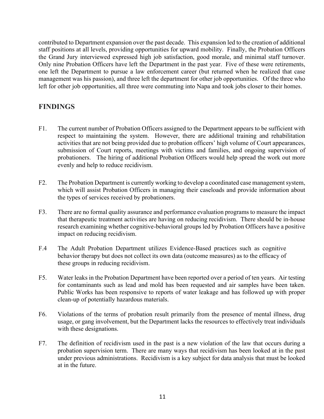contributed to Department expansion over the past decade. This expansion led to the creation of additional staff positions at all levels, providing opportunities for upward mobility. Finally, the Probation Officers the Grand Jury interviewed expressed high job satisfaction, good morale, and minimal staff turnover. Only nine Probation Officers have left the Department in the past year. Five of these were retirements, one left the Department to pursue a law enforcement career (but returned when he realized that case management was his passion), and three left the department for other job opportunities. Of the three who left for other job opportunities, all three were commuting into Napa and took jobs closer to their homes.

## **FINDINGS**

- F1. The current number of Probation Officers assigned to the Department appears to be sufficient with respect to maintaining the system. However, there are additional training and rehabilitation activities that are not being provided due to probation officers' high volume of Court appearances, submission of Court reports, meetings with victims and families, and ongoing supervision of probationers. The hiring of additional Probation Officers would help spread the work out more evenly and help to reduce recidivism.
- F2. The Probation Department is currently working to develop a coordinated case management system, which will assist Probation Officers in managing their caseloads and provide information about the types of services received by probationers.
- F3. There are no formal quality assurance and performance evaluation programs to measure the impact that therapeutic treatment activities are having on reducing recidivism. There should be in-house research examining whether cognitive-behavioral groups led by Probation Officers have a positive impact on reducing recidivism.
- F.4 The Adult Probation Department utilizes Evidence-Based practices such as cognitive behavior therapy but does not collect its own data (outcome measures) as to the efficacy of these groups in reducing recidivism.
- F5. Water leaks in the Probation Department have been reported over a period of ten years. Air testing for contaminants such as lead and mold has been requested and air samples have been taken. Public Works has been responsive to reports of water leakage and has followed up with proper clean-up of potentially hazardous materials.
- F6. Violations of the terms of probation result primarily from the presence of mental illness, drug usage, or gang involvement, but the Department lacks the resources to effectively treat individuals with these designations.
- F7. The definition of recidivism used in the past is a new violation of the law that occurs during a probation supervision term. There are many ways that recidivism has been looked at in the past under previous administrations. Recidivism is a key subject for data analysis that must be looked at in the future.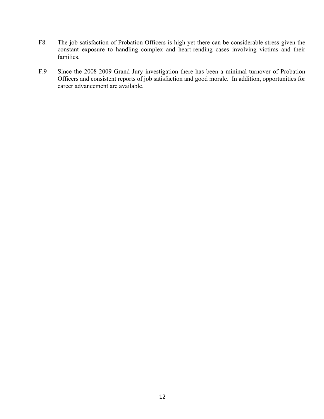- F8. The job satisfaction of Probation Officers is high yet there can be considerable stress given the constant exposure to handling complex and heart-rending cases involving victims and their families.
- F.9 Since the 2008-2009 Grand Jury investigation there has been a minimal turnover of Probation Officers and consistent reports of job satisfaction and good morale. In addition, opportunities for career advancement are available.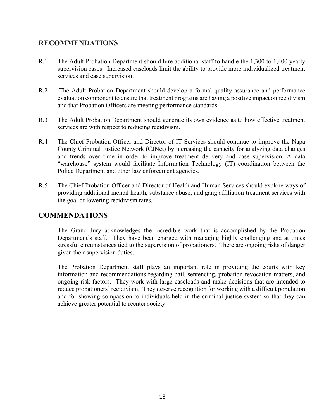### **RECOMMENDATIONS**

- R.1 The Adult Probation Department should hire additional staff to handle the 1,300 to 1,400 yearly supervision cases. Increased caseloads limit the ability to provide more individualized treatment services and case supervision.
- R.2 The Adult Probation Department should develop a formal quality assurance and performance evaluation component to ensure that treatment programs are having a positive impact on recidivism and that Probation Officers are meeting performance standards.
- R.3 The Adult Probation Department should generate its own evidence as to how effective treatment services are with respect to reducing recidivism.
- R.4 The Chief Probation Officer and Director of IT Services should continue to improve the Napa County Criminal Justice Network (CJNet) by increasing the capacity for analyzing data changes and trends over time in order to improve treatment delivery and case supervision. A data "warehouse" system would facilitate Information Technology (IT) coordination between the Police Department and other law enforcement agencies.
- R.5 The Chief Probation Officer and Director of Health and Human Services should explore ways of providing additional mental health, substance abuse, and gang affiliation treatment services with the goal of lowering recidivism rates.

### **COMMENDATIONS**

The Grand Jury acknowledges the incredible work that is accomplished by the Probation Department's staff. They have been charged with managing highly challenging and at times stressful circumstances tied to the supervision of probationers. There are ongoing risks of danger given their supervision duties.

The Probation Department staff plays an important role in providing the courts with key information and recommendations regarding bail, sentencing, probation revocation matters, and ongoing risk factors. They work with large caseloads and make decisions that are intended to reduce probationers' recidivism. They deserve recognition for working with a difficult population and for showing compassion to individuals held in the criminal justice system so that they can achieve greater potential to reenter society.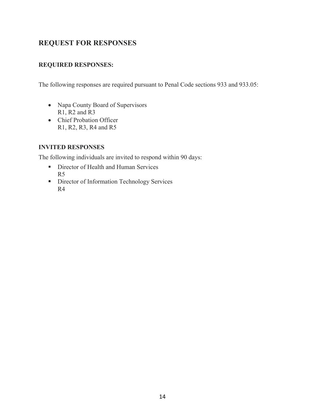# **REQUEST FOR RESPONSES**

### **REQUIRED RESPONSES:**

The following responses are required pursuant to Penal Code sections 933 and 933.05:

- Napa County Board of Supervisors R1, R2 and R3
- Chief Probation Officer R1, R2, R3, R4 and R5

### **INVITED RESPONSES**

The following individuals are invited to respond within 90 days:

- Director of Health and Human Services R5
- Director of Information Technology Services R4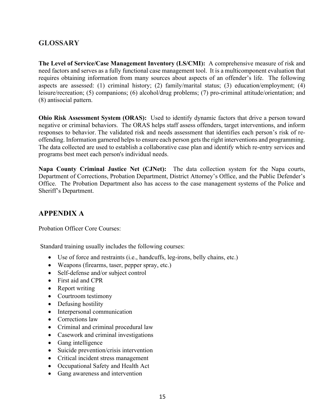# **GLOSSARY**

**The Level of Service/Case Management Inventory (LS/CMI):** A comprehensive measure of risk and need factors and serves as a fully functional case management tool. It is a multicomponent evaluation that requires obtaining information from many sources about aspects of an offender's life. The following aspects are assessed: (1) criminal history; (2) family/marital status; (3) education/employment; (4) leisure/recreation; (5) companions; (6) alcohol/drug problems; (7) pro-criminal attitude/orientation; and (8) antisocial pattern.

**Ohio Risk Assessment System (ORAS):** Used to identify dynamic factors that drive a person toward negative or criminal behaviors. The ORAS helps staff assess offenders, target interventions, and inform responses to behavior. The validated risk and needs assessment that identifies each person's risk of reoffending. Information garnered helps to ensure each person gets the right interventions and programming. The data collected are used to establish a collaborative case plan and identify which re-entry services and programs best meet each person's individual needs.

**Napa County Criminal Justice Net (CJNet):** The data collection system for the Napa courts, Department of Corrections, Probation Department, District Attorney's Office, and the Public Defender's Office. The Probation Department also has access to the case management systems of the Police and Sheriff's Department.

# **APPENDIX A**

Probation Officer Core Courses:

Standard training usually includes the following courses:

- Use of force and restraints (i.e., handcuffs, leg-irons, belly chains, etc.)
- Weapons (firearms, taser, pepper spray, etc.)
- Self-defense and/or subject control
- First aid and CPR
- Report writing
- Courtroom testimony
- Defusing hostility
- Interpersonal communication
- Corrections law
- Criminal and criminal procedural law
- Casework and criminal investigations
- Gang intelligence
- Suicide prevention/crisis intervention
- Critical incident stress management
- Occupational Safety and Health Act
- Gang awareness and intervention